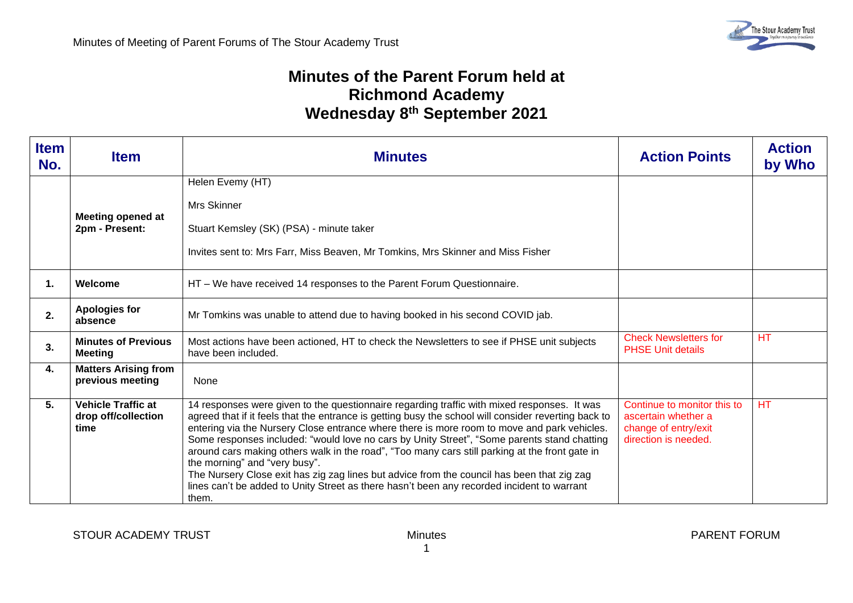## **Minutes of the Parent Forum held at Richmond Academy Wednesday 8 th September 2021**

| <b>Item</b><br>No. | <b>Item</b>                                              | <b>Minutes</b>                                                                                                                                                                                                                                                                                                                                                                                                                                                                                                                                                                                                                                                                                                                            | <b>Action Points</b>                                                                               | <b>Action</b><br>by Who |
|--------------------|----------------------------------------------------------|-------------------------------------------------------------------------------------------------------------------------------------------------------------------------------------------------------------------------------------------------------------------------------------------------------------------------------------------------------------------------------------------------------------------------------------------------------------------------------------------------------------------------------------------------------------------------------------------------------------------------------------------------------------------------------------------------------------------------------------------|----------------------------------------------------------------------------------------------------|-------------------------|
|                    | <b>Meeting opened at</b><br>2pm - Present:               | Helen Evemy (HT)<br><b>Mrs Skinner</b><br>Stuart Kemsley (SK) (PSA) - minute taker<br>Invites sent to: Mrs Farr, Miss Beaven, Mr Tomkins, Mrs Skinner and Miss Fisher                                                                                                                                                                                                                                                                                                                                                                                                                                                                                                                                                                     |                                                                                                    |                         |
| 1.                 | Welcome                                                  | HT - We have received 14 responses to the Parent Forum Questionnaire.                                                                                                                                                                                                                                                                                                                                                                                                                                                                                                                                                                                                                                                                     |                                                                                                    |                         |
| 2.                 | <b>Apologies for</b><br>absence                          | Mr Tomkins was unable to attend due to having booked in his second COVID jab.                                                                                                                                                                                                                                                                                                                                                                                                                                                                                                                                                                                                                                                             |                                                                                                    |                         |
| 3.                 | <b>Minutes of Previous</b><br><b>Meeting</b>             | Most actions have been actioned, HT to check the Newsletters to see if PHSE unit subjects<br>have been included.                                                                                                                                                                                                                                                                                                                                                                                                                                                                                                                                                                                                                          | <b>Check Newsletters for</b><br><b>PHSE Unit details</b>                                           | <b>HT</b>               |
| 4.                 | <b>Matters Arising from</b><br>previous meeting          | None                                                                                                                                                                                                                                                                                                                                                                                                                                                                                                                                                                                                                                                                                                                                      |                                                                                                    |                         |
| 5.                 | <b>Vehicle Traffic at</b><br>drop off/collection<br>time | 14 responses were given to the questionnaire regarding traffic with mixed responses. It was<br>agreed that if it feels that the entrance is getting busy the school will consider reverting back to<br>entering via the Nursery Close entrance where there is more room to move and park vehicles.<br>Some responses included: "would love no cars by Unity Street", "Some parents stand chatting<br>around cars making others walk in the road", "Too many cars still parking at the front gate in<br>the morning" and "very busy".<br>The Nursery Close exit has zig zag lines but advice from the council has been that zig zag<br>lines can't be added to Unity Street as there hasn't been any recorded incident to warrant<br>them. | Continue to monitor this to<br>ascertain whether a<br>change of entry/exit<br>direction is needed. | <b>HT</b>               |